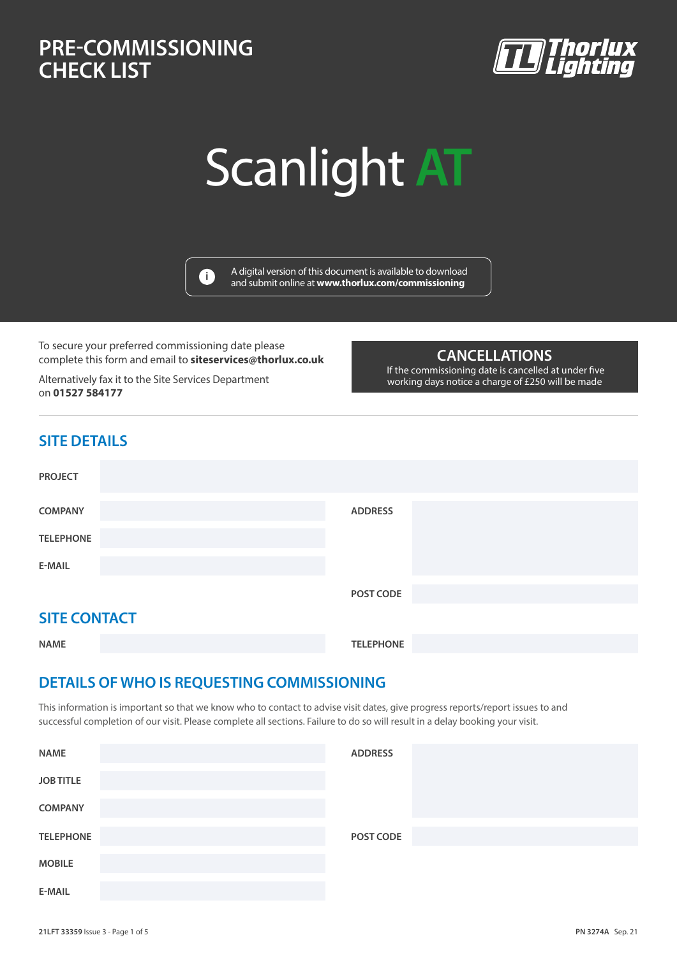### **PRE-COMMISSIONING AT CHECK LIST PRE-COMMISSIONING CHECK LIST**



# Scanlight **AT**



A digital version of this document is available to download and submit online at **www.thorlux.com/commissioning <sup>i</sup>**

To secure your preferred commissioning date please complete this form and email to **siteservices@thorlux.co.uk**

Alternatively fax it to the Site Services Department on **01527 584177**

#### **CANCELLATIONS**

 If the commissioning date is cancelled at under five working days notice a charge of £250 will be made

#### **SITE DETAILS**

| <b>PROJECT</b>      |                |
|---------------------|----------------|
| <b>COMPANY</b>      | <b>ADDRESS</b> |
| <b>TELEPHONE</b>    |                |
| <b>E-MAIL</b>       |                |
|                     | POST CODE      |
| <b>SITE CONTACT</b> |                |

| JI I L JVI I II I J |                  |  |
|---------------------|------------------|--|
| <b>NAME</b>         | <b>TELEPHONE</b> |  |

#### **DETAILS OF WHO IS REQUESTING COMMISSIONING**

This information is important so that we know who to contact to advise visit dates, give progress reports/report issues to and successful completion of our visit. Please complete all sections. Failure to do so will result in a delay booking your visit.

| <b>NAME</b>      | <b>ADDRESS</b> |  |
|------------------|----------------|--|
| <b>JOB TITLE</b> |                |  |
| <b>COMPANY</b>   |                |  |
| <b>TELEPHONE</b> | POST CODE      |  |
| <b>MOBILE</b>    |                |  |
| E-MAIL           |                |  |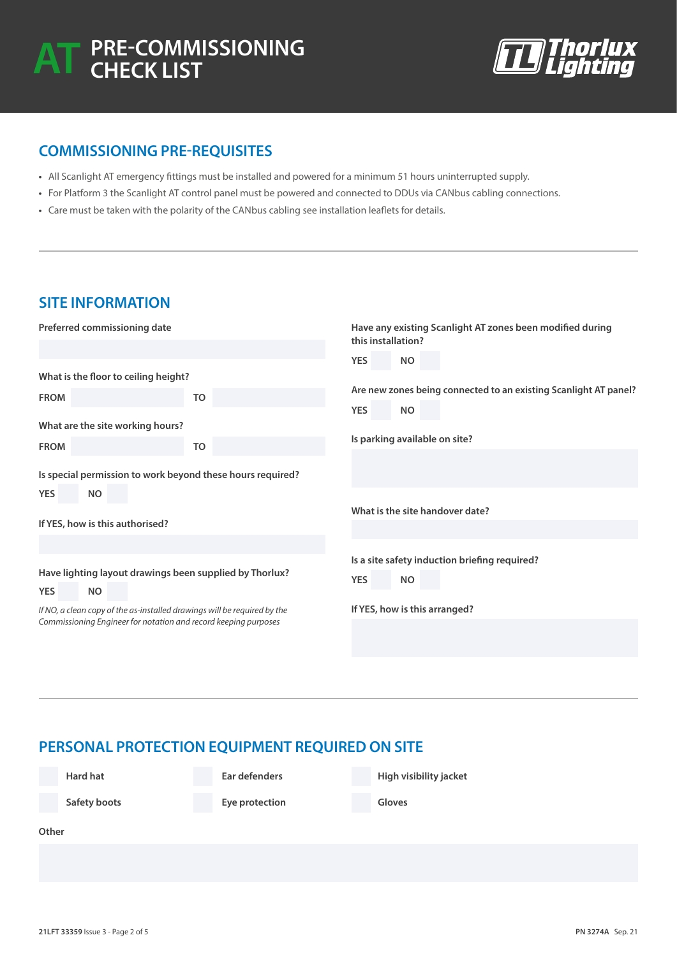

#### **COMMISSIONING PRE-REQUISITES**

- **•** All Scanlight AT emergency fittings must be installed and powered for a minimum 51 hours uninterrupted supply.
- **•** For Platform 3 the Scanlight AT control panel must be powered and connected to DDUs via CANbus cabling connections.
- **•** Care must be taken with the polarity of the CANbus cabling see installation leaflets for details.

| <b>SITE INFORMATION</b>                                                                                                                     |                                                            |                                                                                 |  |
|---------------------------------------------------------------------------------------------------------------------------------------------|------------------------------------------------------------|---------------------------------------------------------------------------------|--|
| Preferred commissioning date                                                                                                                |                                                            | Have any existing Scanlight AT zones been modified during<br>this installation? |  |
|                                                                                                                                             |                                                            | <b>YES</b><br><b>NO</b>                                                         |  |
| What is the floor to ceiling height?                                                                                                        |                                                            |                                                                                 |  |
| <b>FROM</b>                                                                                                                                 | <b>TO</b>                                                  | Are new zones being connected to an existing Scanlight AT panel?                |  |
|                                                                                                                                             |                                                            | <b>YES</b><br><b>NO</b>                                                         |  |
| What are the site working hours?                                                                                                            |                                                            |                                                                                 |  |
| <b>FROM</b>                                                                                                                                 | <b>TO</b>                                                  | Is parking available on site?                                                   |  |
|                                                                                                                                             |                                                            |                                                                                 |  |
|                                                                                                                                             | Is special permission to work beyond these hours required? |                                                                                 |  |
| <b>YES</b><br><b>NO</b>                                                                                                                     |                                                            |                                                                                 |  |
|                                                                                                                                             |                                                            | What is the site handover date?                                                 |  |
| If YES, how is this authorised?                                                                                                             |                                                            |                                                                                 |  |
|                                                                                                                                             |                                                            |                                                                                 |  |
|                                                                                                                                             |                                                            | Is a site safety induction briefing required?                                   |  |
| Have lighting layout drawings been supplied by Thorlux?                                                                                     |                                                            | <b>YES</b><br><b>NO</b>                                                         |  |
| <b>YES</b><br><b>NO</b>                                                                                                                     |                                                            |                                                                                 |  |
| If NO, a clean copy of the as-installed drawings will be required by the<br>Commissioning Engineer for notation and record keeping purposes |                                                            | If YES, how is this arranged?                                                   |  |
|                                                                                                                                             |                                                            |                                                                                 |  |
|                                                                                                                                             |                                                            |                                                                                 |  |

#### **PERSONAL PROTECTION EQUIPMENT REQUIRED ON SITE**

**Hard hat**

**Ear defenders**

**High visibility jacket**

**Safety boots**

**Eye protection**

**Gloves**

**Other**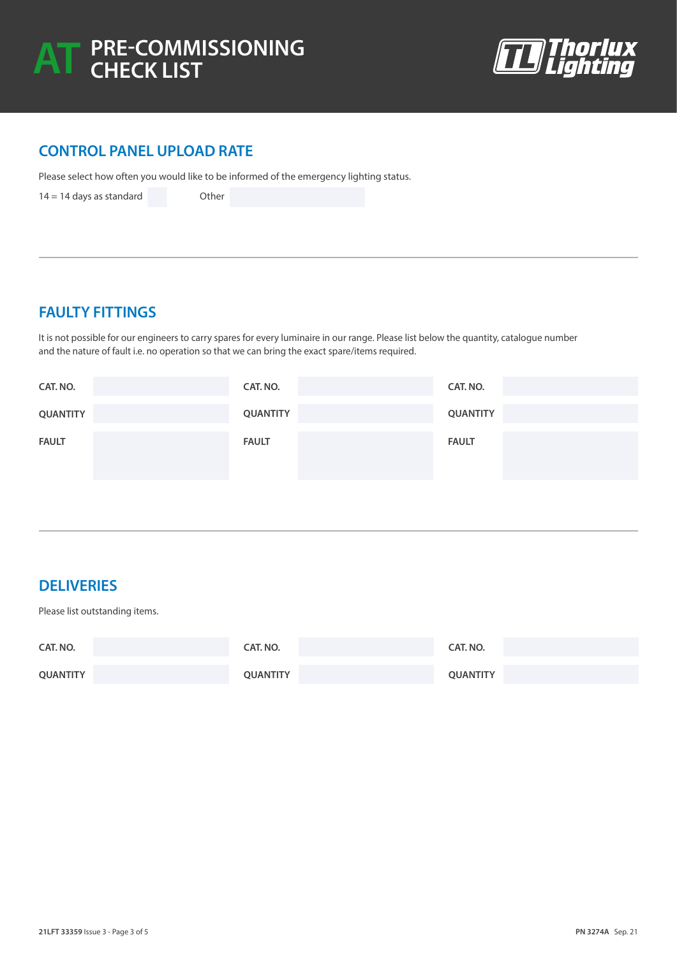

#### **CONTROL PANEL UPLOAD RATE**

Please select how often you would like to be informed of the emergency lighting status.

 $14 = 14$  days as standard Other

#### **FAULTY FITTINGS**

It is not possible for our engineers to carry spares for every luminaire in our range. Please list below the quantity, catalogue number and the nature of fault i.e. no operation so that we can bring the exact spare/items required.

| CAT. NO.        | CAT. NO.     | CAT. NO.        |
|-----------------|--------------|-----------------|
| <b>QUANTITY</b> | QUANTITY     | <b>QUANTITY</b> |
| <b>FAULT</b>    | <b>FAULT</b> | <b>FAULT</b>    |

#### **DELIVERIES**

Please list outstanding items.

| CAT. NO.        | CAT. NO.        | CAT. NO.        |
|-----------------|-----------------|-----------------|
| <b>QUANTITY</b> | <b>QUANTITY</b> | <b>QUANTITY</b> |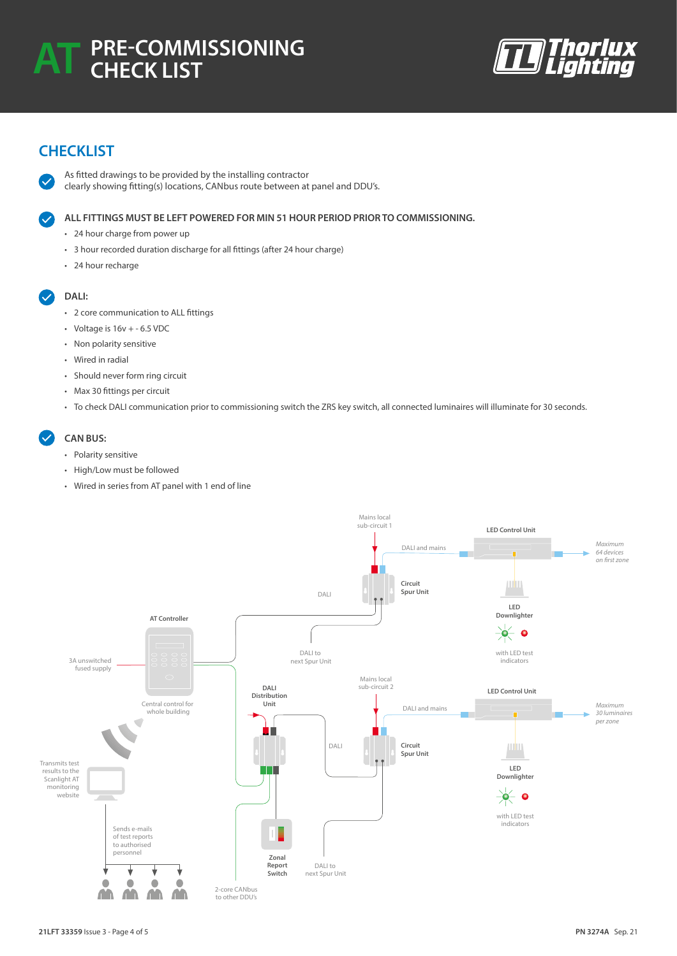

#### **CHECKLIST**

As fitted drawings to be provided by the installing contractor clearly showing fitting(s) locations, CANbus route between at panel and DDU's.

**ALL FITTINGS MUST BE LEFT POWERED FOR MIN 51 HOUR PERIOD PRIOR TO COMMISSIONING.** 

- 24 hour charge from power up
- 3 hour recorded duration discharge for all fittings (after 24 hour charge)
- 24 hour recharge

#### **DALI:**

- 2 core communication to ALL fittings
- Voltage is  $16v + -6.5$  VDC
- Non polarity sensitive
- Wired in radial
- Should never form ring circuit
- Max 30 fittings per circuit
- To check DALI communication prior to commissioning switch the ZRS key switch, all connected luminaires will illuminate for 30 seconds.

#### **CAN BUS:**

- Polarity sensitive
- High/Low must be followed
- Wired in series from AT panel with 1 end of line